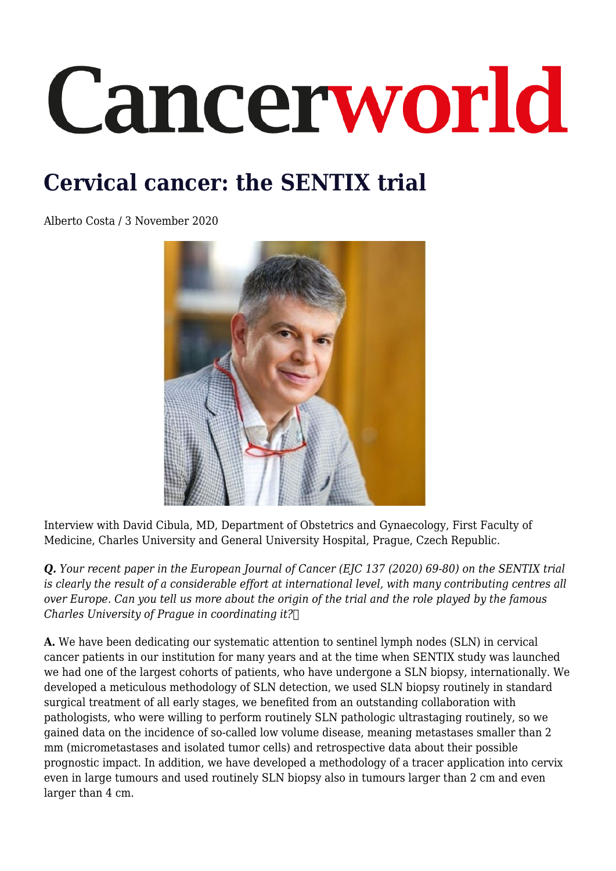# Cancerworld

## **Cervical cancer: the SENTIX trial**

Alberto Costa / 3 November 2020



Interview with David Cibula, MD, Department of Obstetrics and Gynaecology, First Faculty of Medicine, Charles University and General University Hospital, Prague, Czech Republic.

*Q. Your recent paper in the European Journal of Cancer (EJC 137 (2020) 69-80) on the SENTIX trial is clearly the result of a considerable effort at international level, with many contributing centres all over Europe. Can you tell us more about the origin of the trial and the role played by the famous Charles University of Prague in coordinating it?* 

**A.** We have been dedicating our systematic attention to sentinel lymph nodes (SLN) in cervical cancer patients in our institution for many years and at the time when SENTIX study was launched we had one of the largest cohorts of patients, who have undergone a SLN biopsy, internationally. We developed a meticulous methodology of SLN detection, we used SLN biopsy routinely in standard surgical treatment of all early stages, we benefited from an outstanding collaboration with pathologists, who were willing to perform routinely SLN pathologic ultrastaging routinely, so we gained data on the incidence of so-called low volume disease, meaning metastases smaller than 2 mm (micrometastases and isolated tumor cells) and retrospective data about their possible prognostic impact. In addition, we have developed a methodology of a tracer application into cervix even in large tumours and used routinely SLN biopsy also in tumours larger than 2 cm and even larger than 4 cm.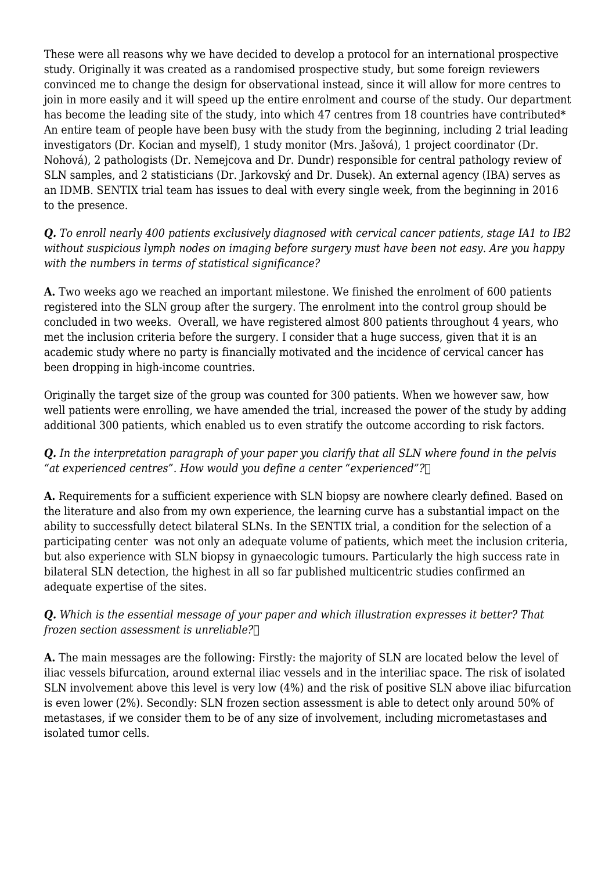These were all reasons why we have decided to develop a protocol for an international prospective study. Originally it was created as a randomised prospective study, but some foreign reviewers convinced me to change the design for observational instead, since it will allow for more centres to join in more easily and it will speed up the entire enrolment and course of the study. Our department has become the leading site of the study, into which 47 centres from 18 countries have contributed\* An entire team of people have been busy with the study from the beginning, including 2 trial leading investigators (Dr. Kocian and myself), 1 study monitor (Mrs. Jašová), 1 project coordinator (Dr. Nohová), 2 pathologists (Dr. Nemejcova and Dr. Dundr) responsible for central pathology review of SLN samples, and 2 statisticians (Dr. Jarkovský and Dr. Dusek). An external agency (IBA) serves as an IDMB. SENTIX trial team has issues to deal with every single week, from the beginning in 2016 to the presence.

*Q. To enroll nearly 400 patients exclusively diagnosed with cervical cancer patients, stage IA1 to IB2 without suspicious lymph nodes on imaging before surgery must have been not easy. Are you happy with the numbers in terms of statistical significance?*

**A.** Two weeks ago we reached an important milestone. We finished the enrolment of 600 patients registered into the SLN group after the surgery. The enrolment into the control group should be concluded in two weeks. Overall, we have registered almost 800 patients throughout 4 years, who met the inclusion criteria before the surgery. I consider that a huge success, given that it is an academic study where no party is financially motivated and the incidence of cervical cancer has been dropping in high-income countries.

Originally the target size of the group was counted for 300 patients. When we however saw, how well patients were enrolling, we have amended the trial, increased the power of the study by adding additional 300 patients, which enabled us to even stratify the outcome according to risk factors.

### *Q. In the interpretation paragraph of your paper you clarify that all SLN where found in the pelvis "at experienced centres". How would you define a center "experienced"?*

**A.** Requirements for a sufficient experience with SLN biopsy are nowhere clearly defined. Based on the literature and also from my own experience, the learning curve has a substantial impact on the ability to successfully detect bilateral SLNs. In the SENTIX trial, a condition for the selection of a participating center was not only an adequate volume of patients, which meet the inclusion criteria, but also experience with SLN biopsy in gynaecologic tumours. Particularly the high success rate in bilateral SLN detection, the highest in all so far published multicentric studies confirmed an adequate expertise of the sites.

#### *Q. Which is the essential message of your paper and which illustration expresses it better? That frozen section assessment is unreliable?*

**A.** The main messages are the following: Firstly: the majority of SLN are located below the level of iliac vessels bifurcation, around external iliac vessels and in the interiliac space. The risk of isolated SLN involvement above this level is very low (4%) and the risk of positive SLN above iliac bifurcation is even lower (2%). Secondly: SLN frozen section assessment is able to detect only around 50% of metastases, if we consider them to be of any size of involvement, including micrometastases and isolated tumor cells.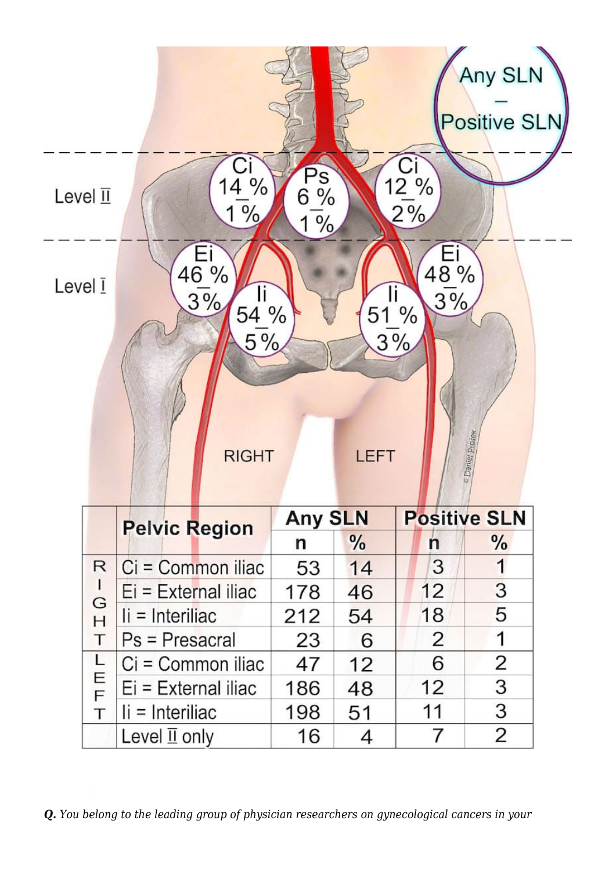|                                                                                                                                                            |                                     |                 |            |                  | Any SLN<br>Positive SLN |
|------------------------------------------------------------------------------------------------------------------------------------------------------------|-------------------------------------|-----------------|------------|------------------|-------------------------|
| Level $\overline{\mathbb{1}}$                                                                                                                              | $4\%$<br>$\overline{\theta}/\theta$ | $P_{6\%}$<br>1% |            | $\frac{12}{2\%}$ |                         |
| $\frac{48\%}{3\%}$<br>$\frac{46\%}{3\%}$<br>Level I<br>$\frac{11}{51}$ %<br>$\frac{11}{54}$ %<br>$3\frac{6}{6}$<br>o Danier Prošek<br>LEFT<br><b>RIGHT</b> |                                     |                 |            |                  |                         |
|                                                                                                                                                            | <b>Pelvic Region</b>                | <b>Any SLN</b>  |            |                  | <b>Positive SLN</b>     |
| R                                                                                                                                                          | Ci = Common iliac                   | n<br>53         | $\%$<br>14 | n<br>3           | $\frac{0}{6}$<br>1      |
|                                                                                                                                                            | $Ei = External$ iliac               | 178             | 46         | 12               | 3                       |
| G                                                                                                                                                          | $ii =$ Interiliac                   | 212             | 54         | 18               | 5                       |
| H<br>Т                                                                                                                                                     | $Ps = Presacral$                    | 23              | 6          | 2                | 1                       |
| LEF                                                                                                                                                        | $Ci = Common$ iliac                 | 47              | 12         | 6                | 2                       |
|                                                                                                                                                            | Ei = External iliac                 | 186             | 48         | 12               | 3                       |
| T                                                                                                                                                          | $\mathbf{I}$ = Interiliac           | 198             | 51         | 11               | 3                       |
|                                                                                                                                                            | Level $\overline{\mathbb{I}}$ only  | 16              | 4          | 7                | 2                       |

*Q. You belong to the leading group of physician researchers on gynecological cancers in your*